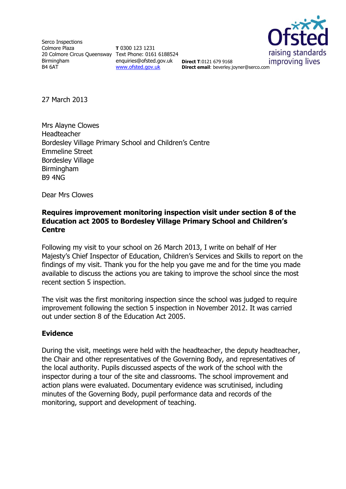Serco Inspections Colmore Plaza 20 Colmore Circus Queensway Text Phone: 0161 6188524 Birmingham B4 6AT

**T** 0300 123 1231 enquiries@ofsted.gov.uk [www.ofsted.gov.uk](http://www.ofsted.gov.uk/)



**Direct T**:0121 679 9168 **Direct email**: beverley.joyner@serco.com

27 March 2013

Mrs Alayne Clowes Headteacher Bordesley Village Primary School and Children's Centre Emmeline Street Bordesley Village Birmingham B9 4NG

Dear Mrs Clowes

#### **Requires improvement monitoring inspection visit under section 8 of the Education act 2005 to Bordesley Village Primary School and Children's Centre**

Following my visit to your school on 26 March 2013, I write on behalf of Her Majesty's Chief Inspector of Education, Children's Services and Skills to report on the findings of my visit. Thank you for the help you gave me and for the time you made available to discuss the actions you are taking to improve the school since the most recent section 5 inspection.

The visit was the first monitoring inspection since the school was judged to require improvement following the section 5 inspection in November 2012. It was carried out under section 8 of the Education Act 2005.

#### **Evidence**

During the visit, meetings were held with the headteacher, the deputy headteacher, the Chair and other representatives of the Governing Body, and representatives of the local authority. Pupils discussed aspects of the work of the school with the inspector during a tour of the site and classrooms. The school improvement and action plans were evaluated. Documentary evidence was scrutinised, including minutes of the Governing Body, pupil performance data and records of the monitoring, support and development of teaching.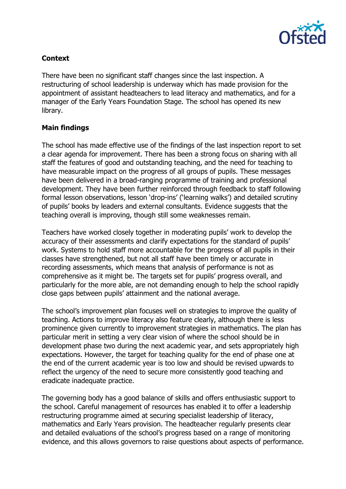

## **Context**

There have been no significant staff changes since the last inspection. A restructuring of school leadership is underway which has made provision for the appointment of assistant headteachers to lead literacy and mathematics, and for a manager of the Early Years Foundation Stage. The school has opened its new library.

### **Main findings**

The school has made effective use of the findings of the last inspection report to set a clear agenda for improvement. There has been a strong focus on sharing with all staff the features of good and outstanding teaching, and the need for teaching to have measurable impact on the progress of all groups of pupils. These messages have been delivered in a broad-ranging programme of training and professional development. They have been further reinforced through feedback to staff following formal lesson observations, lesson 'drop-ins' ('learning walks') and detailed scrutiny of pupils' books by leaders and external consultants. Evidence suggests that the teaching overall is improving, though still some weaknesses remain.

Teachers have worked closely together in moderating pupils' work to develop the accuracy of their assessments and clarify expectations for the standard of pupils' work. Systems to hold staff more accountable for the progress of all pupils in their classes have strengthened, but not all staff have been timely or accurate in recording assessments, which means that analysis of performance is not as comprehensive as it might be. The targets set for pupils' progress overall, and particularly for the more able, are not demanding enough to help the school rapidly close gaps between pupils' attainment and the national average.

The school's improvement plan focuses well on strategies to improve the quality of teaching. Actions to improve literacy also feature clearly, although there is less prominence given currently to improvement strategies in mathematics. The plan has particular merit in setting a very clear vision of where the school should be in development phase two during the next academic year, and sets appropriately high expectations. However, the target for teaching quality for the end of phase one at the end of the current academic year is too low and should be revised upwards to reflect the urgency of the need to secure more consistently good teaching and eradicate inadequate practice.

The governing body has a good balance of skills and offers enthusiastic support to the school. Careful management of resources has enabled it to offer a leadership restructuring programme aimed at securing specialist leadership of literacy, mathematics and Early Years provision. The headteacher regularly presents clear and detailed evaluations of the school's progress based on a range of monitoring evidence, and this allows governors to raise questions about aspects of performance.